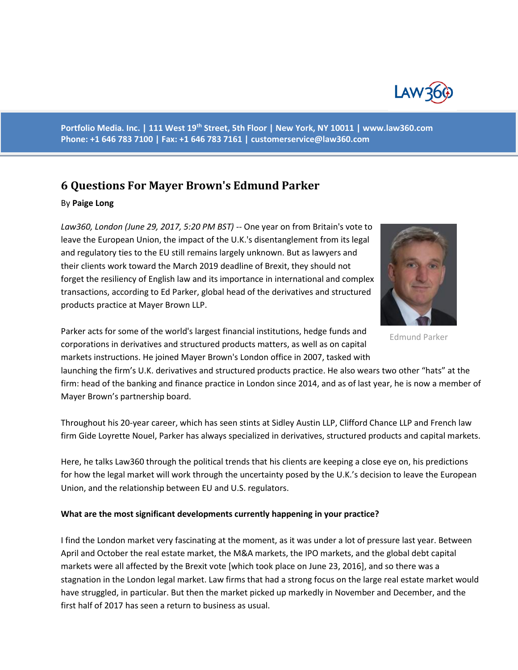

**Portfolio Media. Inc. | 111 West 19th Street, 5th Floor | New York, NY 10011 | www.law360.com Phone: +1 646 783 7100 | Fax: +1 646 783 7161 | [customerservice@law360.com](mailto:customerservice@law360.com)**

# **6 Questions For Mayer Brown's Edmund Parker**

#### By **Paige Long**

*Law360, London (June 29, 2017, 5:20 PM BST) --* One year on from Britain's vote to leave the European Union, the impact of the U.K.'s disentanglement from its legal and regulatory ties to the EU still remains largely unknown. But as lawyers and their clients work toward the March 2019 deadline of Brexit, they should not forget the resiliency of English law and its importance in international and complex transactions, according to Ed Parker, global head of the derivatives and structured products practice at Mayer Brown LLP.



Edmund Parker

Parker acts for some of the world's largest financial institutions, hedge funds and corporations in derivatives and structured products matters, as well as on capital markets instructions. He joined Mayer Brown's London office in 2007, tasked with

launching the firm's U.K. derivatives and structured products practice. He also wears two other "hats" at the firm: head of the banking and finance practice in London since 2014, and as of last year, he is now a member of Mayer Brown's partnership board.

Throughout his 20-year career, which has seen stints at Sidley Austin LLP, Clifford Chance LLP and French law firm Gide Loyrette Nouel, Parker has always specialized in derivatives, structured products and capital markets.

Here, he talks Law360 through the political trends that his clients are keeping a close eye on, his predictions for how the legal market will work through the uncertainty posed by the U.K.'s decision to leave the European Union, and the relationship between EU and U.S. regulators.

#### **What are the most significant developments currently happening in your practice?**

I find the London market very fascinating at the moment, as it was under a lot of pressure last year. Between April and October the real estate market, the M&A markets, the IPO markets, and the global debt capital markets were all affected by the Brexit vote [which took place on June 23, 2016], and so there was a stagnation in the London legal market. Law firms that had a strong focus on the large real estate market would have struggled, in particular. But then the market picked up markedly in November and December, and the first half of 2017 has seen a return to business as usual.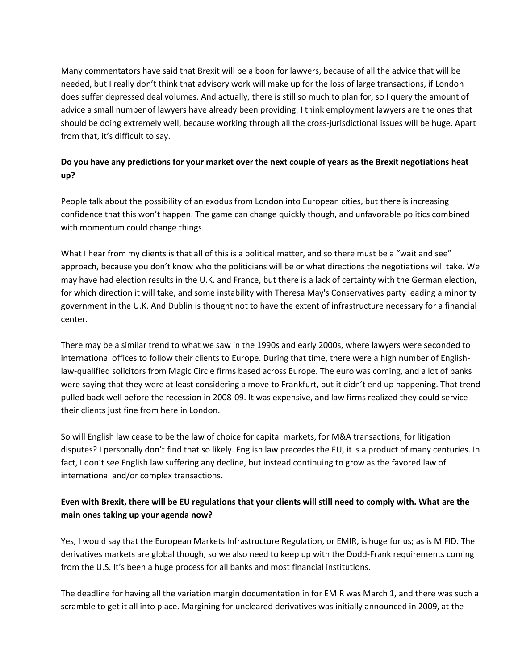Many commentators have said that Brexit will be a boon for lawyers, because of all the advice that will be needed, but I really don't think that advisory work will make up for the loss of large transactions, if London does suffer depressed deal volumes. And actually, there is still so much to plan for, so I query the amount of advice a small number of lawyers have already been providing. I think employment lawyers are the ones that should be doing extremely well, because working through all the cross-jurisdictional issues will be huge. Apart from that, it's difficult to say.

## **Do you have any predictions for your market over the next couple of years as the Brexit negotiations heat up?**

People talk about the possibility of an exodus from London into European cities, but there is increasing confidence that this won't happen. The game can change quickly though, and unfavorable politics combined with momentum could change things.

What I hear from my clients is that all of this is a political matter, and so there must be a "wait and see" approach, because you don't know who the politicians will be or what directions the negotiations will take. We may have had election results in the U.K. and France, but there is a lack of certainty with the German election, for which direction it will take, and some instability with Theresa May's Conservatives party leading a minority government in the U.K. And Dublin is thought not to have the extent of infrastructure necessary for a financial center.

There may be a similar trend to what we saw in the 1990s and early 2000s, where lawyers were seconded to international offices to follow their clients to Europe. During that time, there were a high number of Englishlaw-qualified solicitors from Magic Circle firms based across Europe. The euro was coming, and a lot of banks were saying that they were at least considering a move to Frankfurt, but it didn't end up happening. That trend pulled back well before the recession in 2008-09. It was expensive, and law firms realized they could service their clients just fine from here in London.

So will English law cease to be the law of choice for capital markets, for M&A transactions, for litigation disputes? I personally don't find that so likely. English law precedes the EU, it is a product of many centuries. In fact, I don't see English law suffering any decline, but instead continuing to grow as the favored law of international and/or complex transactions.

### **Even with Brexit, there will be EU regulations that your clients will still need to comply with. What are the main ones taking up your agenda now?**

Yes, I would say that the European Markets Infrastructure Regulation, or EMIR, is huge for us; as is MiFID. The derivatives markets are global though, so we also need to keep up with the Dodd-Frank requirements coming from the U.S. It's been a huge process for all banks and most financial institutions.

The deadline for having all the variation margin documentation in for EMIR was March 1, and there was such a scramble to get it all into place. Margining for uncleared derivatives was initially announced in 2009, at the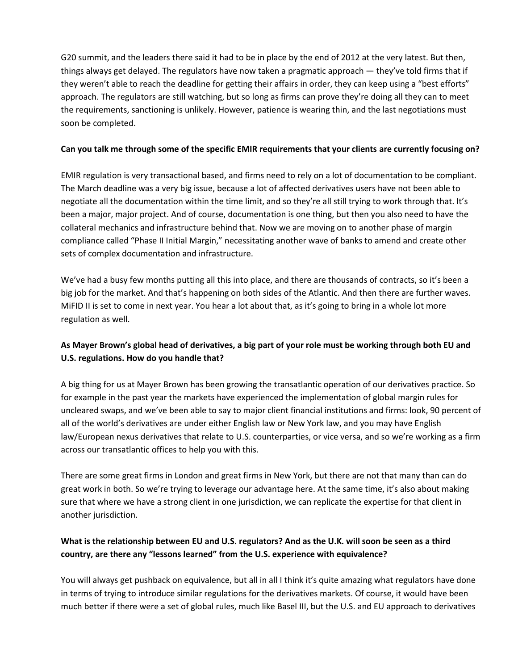G20 summit, and the leaders there said it had to be in place by the end of 2012 at the very latest. But then, things always get delayed. The regulators have now taken a pragmatic approach — they've told firms that if they weren't able to reach the deadline for getting their affairs in order, they can keep using a "best efforts" approach. The regulators are still watching, but so long as firms can prove they're doing all they can to meet the requirements, sanctioning is unlikely. However, patience is wearing thin, and the last negotiations must soon be completed.

#### **Can you talk me through some of the specific EMIR requirements that your clients are currently focusing on?**

EMIR regulation is very transactional based, and firms need to rely on a lot of documentation to be compliant. The March deadline was a very big issue, because a lot of affected derivatives users have not been able to negotiate all the documentation within the time limit, and so they're all still trying to work through that. It's been a major, major project. And of course, documentation is one thing, but then you also need to have the collateral mechanics and infrastructure behind that. Now we are moving on to another phase of margin compliance called "Phase II Initial Margin," necessitating another wave of banks to amend and create other sets of complex documentation and infrastructure.

We've had a busy few months putting all this into place, and there are thousands of contracts, so it's been a big job for the market. And that's happening on both sides of the Atlantic. And then there are further waves. MiFID II is set to come in next year. You hear a lot about that, as it's going to bring in a whole lot more regulation as well.

### **As Mayer Brown's global head of derivatives, a big part of your role must be working through both EU and U.S. regulations. How do you handle that?**

A big thing for us at Mayer Brown has been growing the transatlantic operation of our derivatives practice. So for example in the past year the markets have experienced the implementation of global margin rules for uncleared swaps, and we've been able to say to major client financial institutions and firms: look, 90 percent of all of the world's derivatives are under either English law or New York law, and you may have English law/European nexus derivatives that relate to U.S. counterparties, or vice versa, and so we're working as a firm across our transatlantic offices to help you with this.

There are some great firms in London and great firms in New York, but there are not that many than can do great work in both. So we're trying to leverage our advantage here. At the same time, it's also about making sure that where we have a strong client in one jurisdiction, we can replicate the expertise for that client in another jurisdiction.

### **What is the relationship between EU and U.S. regulators? And as the U.K. will soon be seen as a third country, are there any "lessons learned" from the U.S. experience with equivalence?**

You will always get pushback on equivalence, but all in all I think it's quite amazing what regulators have done in terms of trying to introduce similar regulations for the derivatives markets. Of course, it would have been much better if there were a set of global rules, much like Basel III, but the U.S. and EU approach to derivatives